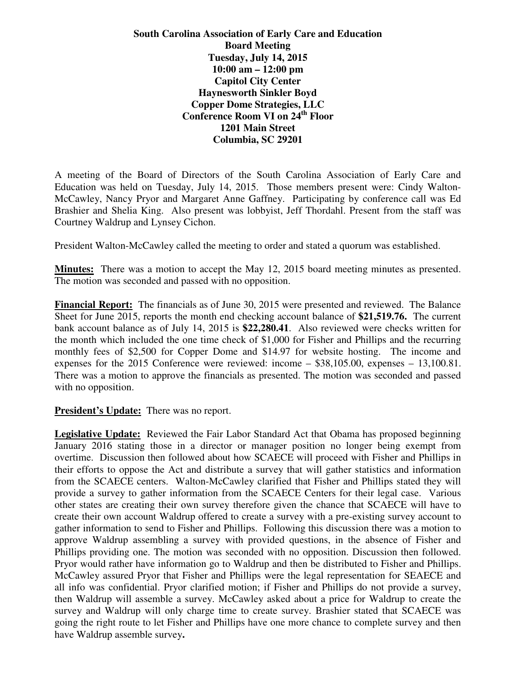**South Carolina Association of Early Care and Education Board Meeting Tuesday, July 14, 2015 10:00 am – 12:00 pm Capitol City Center Haynesworth Sinkler Boyd Copper Dome Strategies, LLC Conference Room VI on 24th Floor 1201 Main Street Columbia, SC 29201** 

A meeting of the Board of Directors of the South Carolina Association of Early Care and Education was held on Tuesday, July 14, 2015. Those members present were: Cindy Walton-McCawley, Nancy Pryor and Margaret Anne Gaffney. Participating by conference call was Ed Brashier and Shelia King. Also present was lobbyist, Jeff Thordahl. Present from the staff was Courtney Waldrup and Lynsey Cichon.

President Walton-McCawley called the meeting to order and stated a quorum was established.

**Minutes:** There was a motion to accept the May 12, 2015 board meeting minutes as presented. The motion was seconded and passed with no opposition.

**Financial Report:** The financials as of June 30, 2015 were presented and reviewed. The Balance Sheet for June 2015, reports the month end checking account balance of **\$21,519.76.** The current bank account balance as of July 14, 2015 is **\$22,280.41**. Also reviewed were checks written for the month which included the one time check of \$1,000 for Fisher and Phillips and the recurring monthly fees of \$2,500 for Copper Dome and \$14.97 for website hosting. The income and expenses for the 2015 Conference were reviewed: income – \$38,105.00, expenses – 13,100.81. There was a motion to approve the financials as presented. The motion was seconded and passed with no opposition.

**President's Update:** There was no report.

**Legislative Update:** Reviewed the Fair Labor Standard Act that Obama has proposed beginning January 2016 stating those in a director or manager position no longer being exempt from overtime. Discussion then followed about how SCAECE will proceed with Fisher and Phillips in their efforts to oppose the Act and distribute a survey that will gather statistics and information from the SCAECE centers. Walton-McCawley clarified that Fisher and Phillips stated they will provide a survey to gather information from the SCAECE Centers for their legal case. Various other states are creating their own survey therefore given the chance that SCAECE will have to create their own account Waldrup offered to create a survey with a pre-existing survey account to gather information to send to Fisher and Phillips. Following this discussion there was a motion to approve Waldrup assembling a survey with provided questions, in the absence of Fisher and Phillips providing one. The motion was seconded with no opposition. Discussion then followed. Pryor would rather have information go to Waldrup and then be distributed to Fisher and Phillips. McCawley assured Pryor that Fisher and Phillips were the legal representation for SEAECE and all info was confidential. Pryor clarified motion; if Fisher and Phillips do not provide a survey, then Waldrup will assemble a survey. McCawley asked about a price for Waldrup to create the survey and Waldrup will only charge time to create survey. Brashier stated that SCAECE was going the right route to let Fisher and Phillips have one more chance to complete survey and then have Waldrup assemble survey**.**